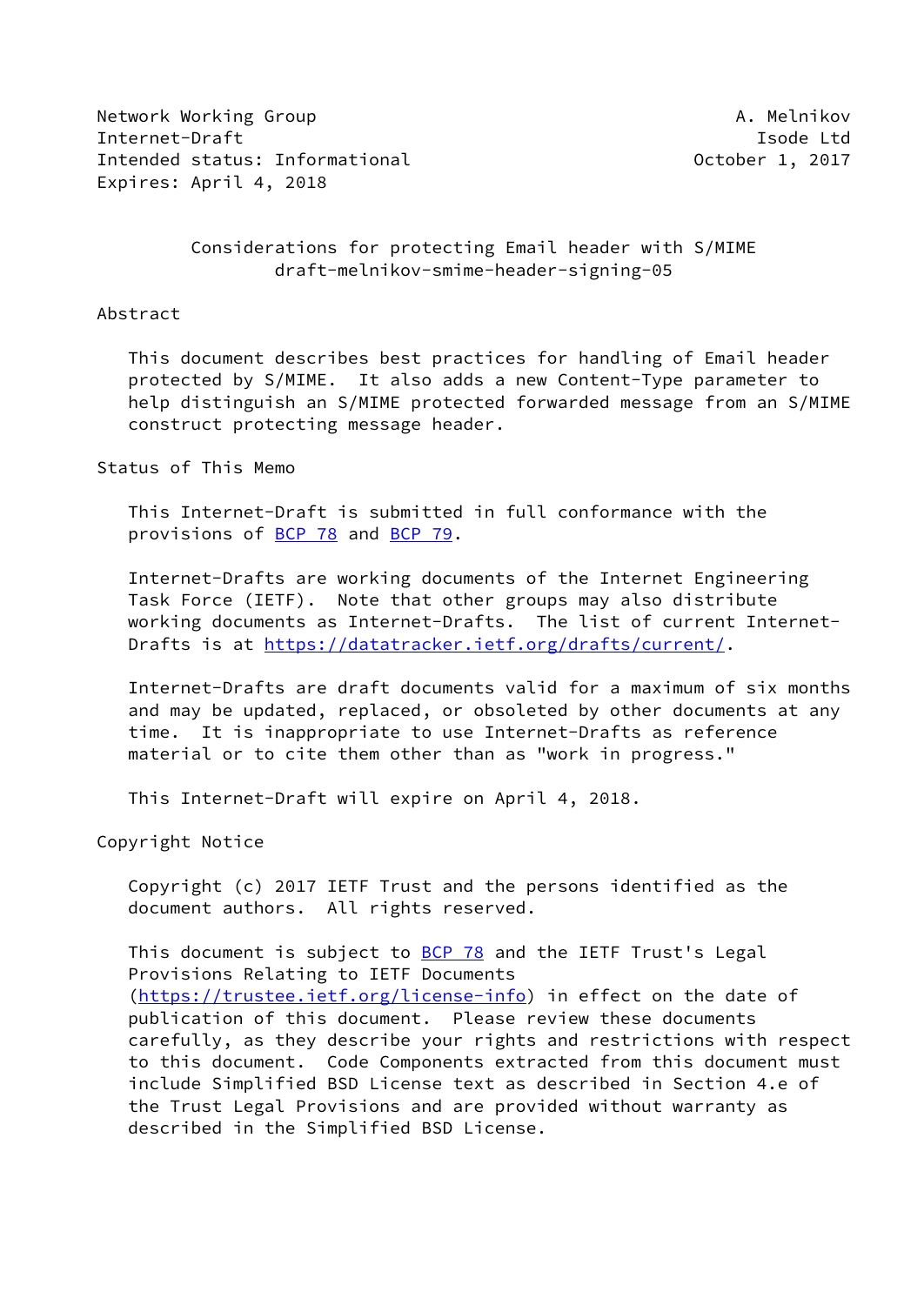Network Working Group **A. Melnikov** A. Melnikov Internet-Draft **Isolat Isom and Isom and Isolat Isolat Isolat Isolat Isolat Isolat Isolat Isolat Isolat Isolat Isolat Isolat Isolat Isolat Isolat Isolat Isolat Isolat Isolat Isolat Isolat Isolat Isolat Isolat Isolat Isolat** Intended status: Informational and December 1, 2017 Expires: April 4, 2018

# Considerations for protecting Email header with S/MIME draft-melnikov-smime-header-signing-05

#### Abstract

 This document describes best practices for handling of Email header protected by S/MIME. It also adds a new Content-Type parameter to help distinguish an S/MIME protected forwarded message from an S/MIME construct protecting message header.

# Status of This Memo

 This Internet-Draft is submitted in full conformance with the provisions of [BCP 78](https://datatracker.ietf.org/doc/pdf/bcp78) and [BCP 79](https://datatracker.ietf.org/doc/pdf/bcp79).

 Internet-Drafts are working documents of the Internet Engineering Task Force (IETF). Note that other groups may also distribute working documents as Internet-Drafts. The list of current Internet Drafts is at<https://datatracker.ietf.org/drafts/current/>.

 Internet-Drafts are draft documents valid for a maximum of six months and may be updated, replaced, or obsoleted by other documents at any time. It is inappropriate to use Internet-Drafts as reference material or to cite them other than as "work in progress."

This Internet-Draft will expire on April 4, 2018.

Copyright Notice

 Copyright (c) 2017 IETF Trust and the persons identified as the document authors. All rights reserved.

This document is subject to **[BCP 78](https://datatracker.ietf.org/doc/pdf/bcp78)** and the IETF Trust's Legal Provisions Relating to IETF Documents [\(https://trustee.ietf.org/license-info](https://trustee.ietf.org/license-info)) in effect on the date of publication of this document. Please review these documents carefully, as they describe your rights and restrictions with respect to this document. Code Components extracted from this document must include Simplified BSD License text as described in Section 4.e of the Trust Legal Provisions and are provided without warranty as described in the Simplified BSD License.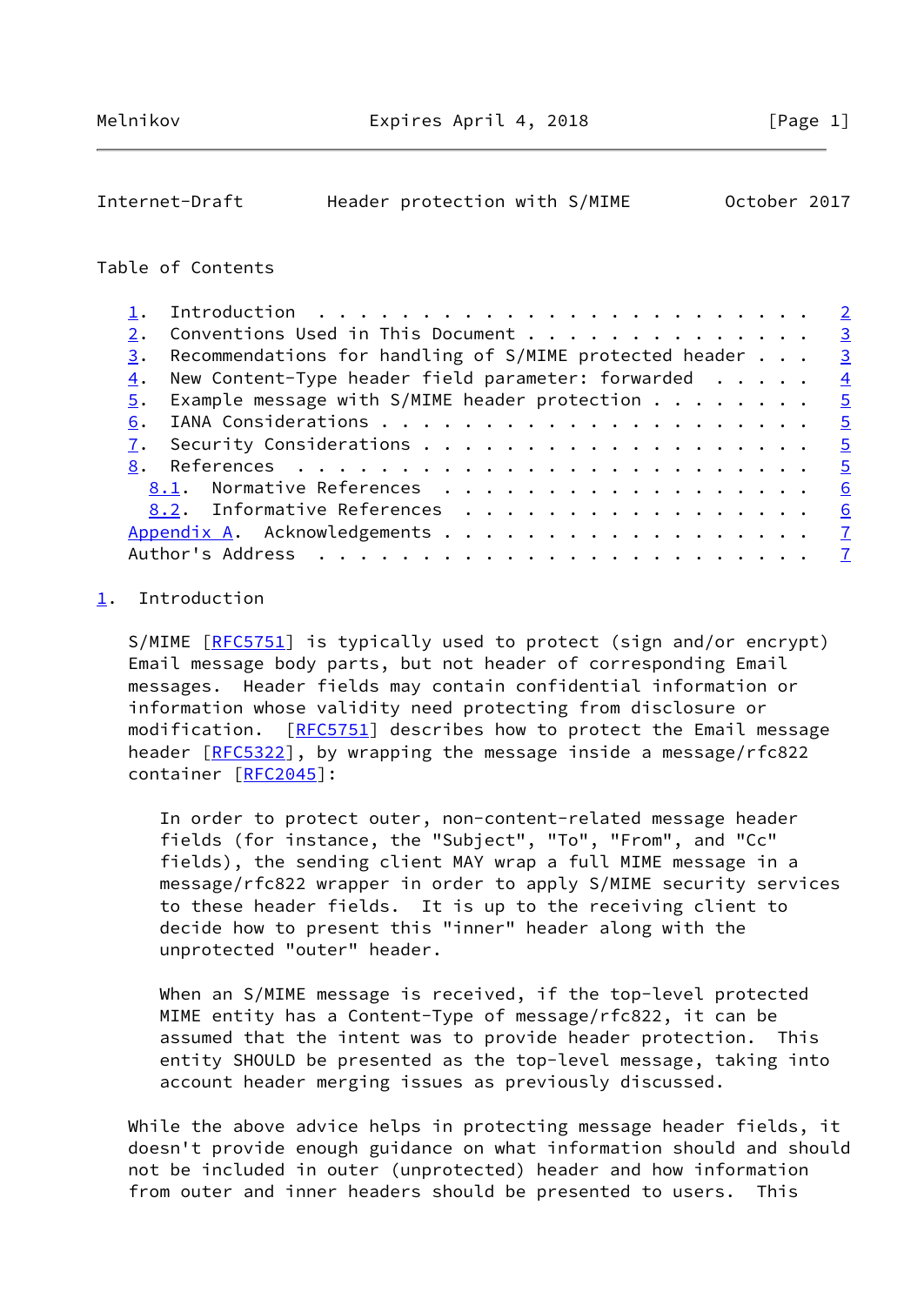<span id="page-1-1"></span>

| Internet-Draft | Header protection with S/MIME |  | October 2017 |  |
|----------------|-------------------------------|--|--------------|--|
|                |                               |  |              |  |

### Table of Contents

|    |                                                                           | $\overline{2}$ |
|----|---------------------------------------------------------------------------|----------------|
|    | Conventions Used in This Document<br>$\overline{\mathbf{3}}$              |                |
| 3. | $\overline{3}$<br>Recommendations for handling of S/MIME protected header |                |
| 4. | New Content-Type header field parameter: forwarded $\dots$ .              | $\overline{4}$ |
|    | $5.$ Example message with S/MIME header protection $.$<br>$\overline{5}$  |                |
| 6. |                                                                           | $-5$           |
|    | $-5$                                                                      |                |
|    |                                                                           | $-5$           |
|    | 8.1. Normative References                                                 | 6              |
|    | 8.2. Informative References                                               | <u>6</u>       |
|    |                                                                           |                |
|    | $\overline{7}$                                                            |                |
|    |                                                                           |                |

# <span id="page-1-0"></span>[1](#page-1-0). Introduction

S/MIME [\[RFC5751](https://datatracker.ietf.org/doc/pdf/rfc5751)] is typically used to protect (sign and/or encrypt) Email message body parts, but not header of corresponding Email messages. Header fields may contain confidential information or information whose validity need protecting from disclosure or modification. [\[RFC5751](https://datatracker.ietf.org/doc/pdf/rfc5751)] describes how to protect the Email message header [\[RFC5322](https://datatracker.ietf.org/doc/pdf/rfc5322)], by wrapping the message inside a message/rfc822 container [[RFC2045](https://datatracker.ietf.org/doc/pdf/rfc2045)]:

 In order to protect outer, non-content-related message header fields (for instance, the "Subject", "To", "From", and "Cc" fields), the sending client MAY wrap a full MIME message in a message/rfc822 wrapper in order to apply S/MIME security services to these header fields. It is up to the receiving client to decide how to present this "inner" header along with the unprotected "outer" header.

 When an S/MIME message is received, if the top-level protected MIME entity has a Content-Type of message/rfc822, it can be assumed that the intent was to provide header protection. This entity SHOULD be presented as the top-level message, taking into account header merging issues as previously discussed.

 While the above advice helps in protecting message header fields, it doesn't provide enough guidance on what information should and should not be included in outer (unprotected) header and how information from outer and inner headers should be presented to users. This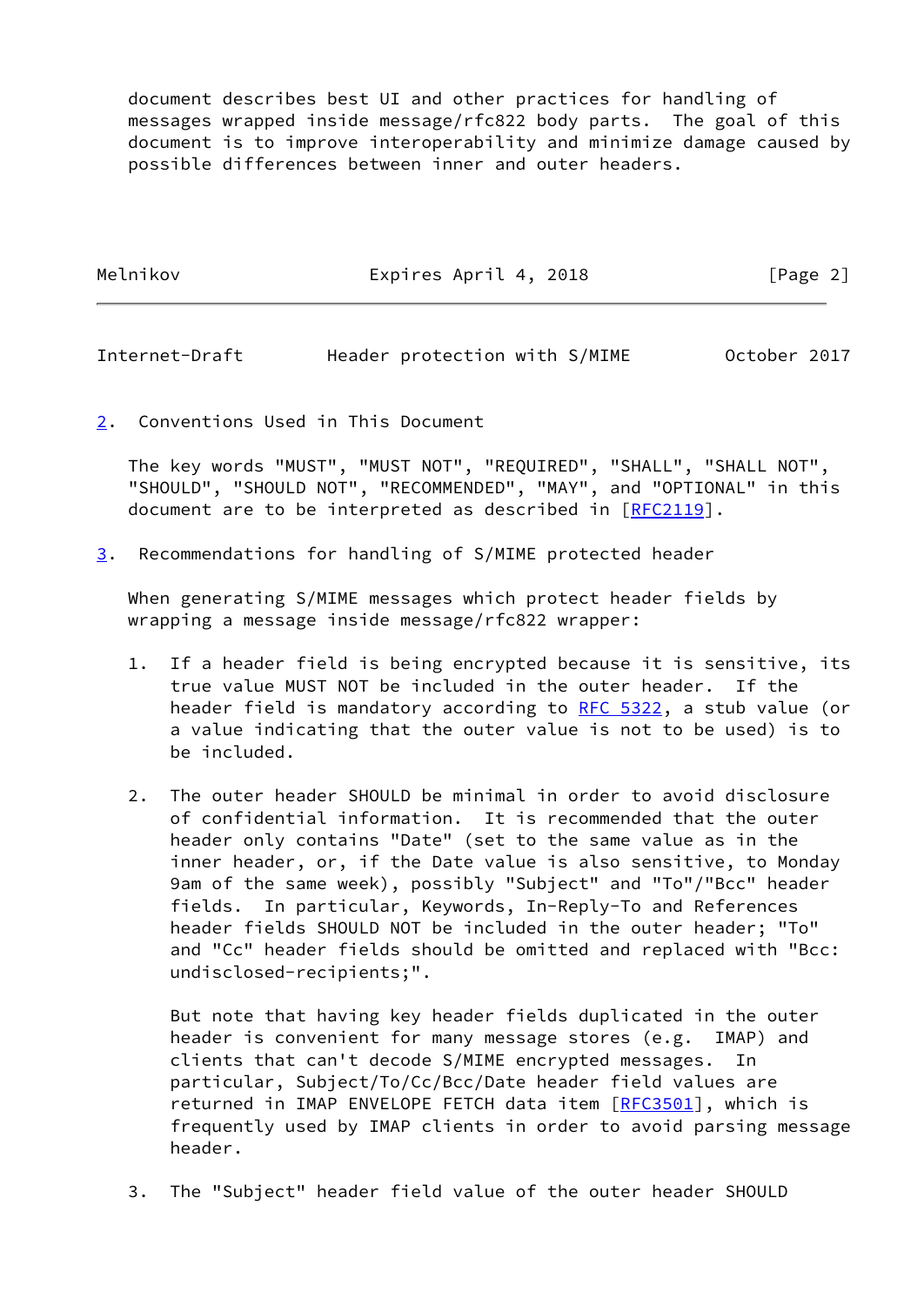document describes best UI and other practices for handling of messages wrapped inside message/rfc822 body parts. The goal of this document is to improve interoperability and minimize damage caused by possible differences between inner and outer headers.

| Melnikov | Expires April 4, 2018 | [Page 2] |
|----------|-----------------------|----------|
|          |                       |          |

<span id="page-2-1"></span>Internet-Draft Header protection with S/MIME October 2017

<span id="page-2-0"></span>[2](#page-2-0). Conventions Used in This Document

 The key words "MUST", "MUST NOT", "REQUIRED", "SHALL", "SHALL NOT", "SHOULD", "SHOULD NOT", "RECOMMENDED", "MAY", and "OPTIONAL" in this document are to be interpreted as described in [\[RFC2119](https://datatracker.ietf.org/doc/pdf/rfc2119)].

<span id="page-2-2"></span>[3](#page-2-2). Recommendations for handling of S/MIME protected header

 When generating S/MIME messages which protect header fields by wrapping a message inside message/rfc822 wrapper:

- 1. If a header field is being encrypted because it is sensitive, its true value MUST NOT be included in the outer header. If the header field is mandatory according to [RFC 5322,](https://datatracker.ietf.org/doc/pdf/rfc5322) a stub value (or a value indicating that the outer value is not to be used) is to be included.
- 2. The outer header SHOULD be minimal in order to avoid disclosure of confidential information. It is recommended that the outer header only contains "Date" (set to the same value as in the inner header, or, if the Date value is also sensitive, to Monday 9am of the same week), possibly "Subject" and "To"/"Bcc" header fields. In particular, Keywords, In-Reply-To and References header fields SHOULD NOT be included in the outer header; "To" and "Cc" header fields should be omitted and replaced with "Bcc: undisclosed-recipients;".

 But note that having key header fields duplicated in the outer header is convenient for many message stores (e.g. IMAP) and clients that can't decode S/MIME encrypted messages. In particular, Subject/To/Cc/Bcc/Date header field values are returned in IMAP ENVELOPE FETCH data item [[RFC3501](https://datatracker.ietf.org/doc/pdf/rfc3501)], which is frequently used by IMAP clients in order to avoid parsing message header.

3. The "Subject" header field value of the outer header SHOULD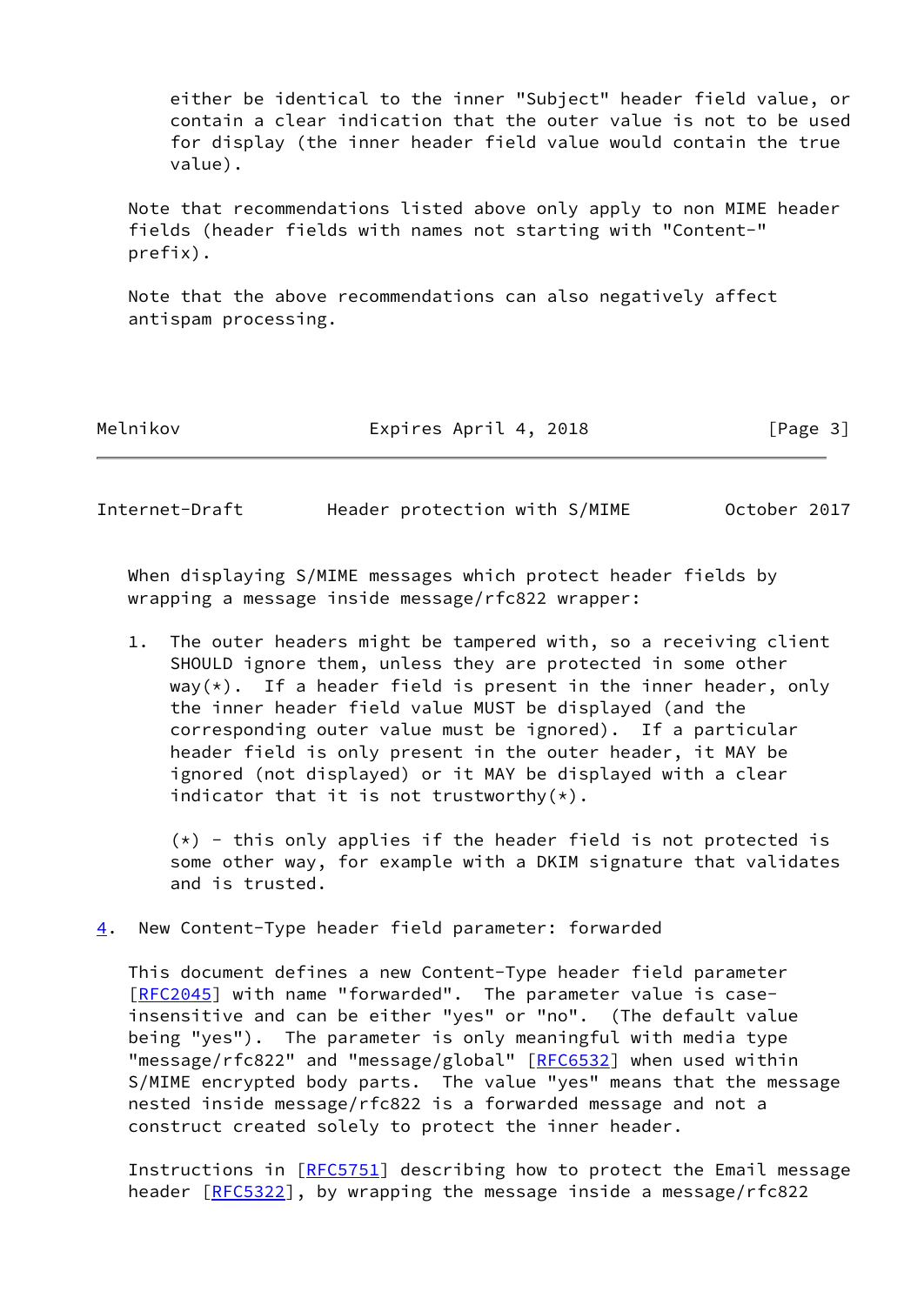either be identical to the inner "Subject" header field value, or contain a clear indication that the outer value is not to be used for display (the inner header field value would contain the true value).

 Note that recommendations listed above only apply to non MIME header fields (header fields with names not starting with "Content-" prefix).

 Note that the above recommendations can also negatively affect antispam processing.

Melnikov **Expires April 4, 2018** [Page 3]

<span id="page-3-1"></span>Internet-Draft Header protection with S/MIME October 2017

 When displaying S/MIME messages which protect header fields by wrapping a message inside message/rfc822 wrapper:

 1. The outer headers might be tampered with, so a receiving client SHOULD ignore them, unless they are protected in some other  $way(*)$ . If a header field is present in the inner header, only the inner header field value MUST be displayed (and the corresponding outer value must be ignored). If a particular header field is only present in the outer header, it MAY be ignored (not displayed) or it MAY be displayed with a clear indicator that it is not trustworthy $(*)$ .

 $(*)$  - this only applies if the header field is not protected is some other way, for example with a DKIM signature that validates and is trusted.

<span id="page-3-0"></span>[4](#page-3-0). New Content-Type header field parameter: forwarded

 This document defines a new Content-Type header field parameter [\[RFC2045](https://datatracker.ietf.org/doc/pdf/rfc2045)] with name "forwarded". The parameter value is case insensitive and can be either "yes" or "no". (The default value being "yes"). The parameter is only meaningful with media type "message/rfc822" and "message/global" [[RFC6532](https://datatracker.ietf.org/doc/pdf/rfc6532)] when used within S/MIME encrypted body parts. The value "yes" means that the message nested inside message/rfc822 is a forwarded message and not a construct created solely to protect the inner header.

 Instructions in [\[RFC5751](https://datatracker.ietf.org/doc/pdf/rfc5751)] describing how to protect the Email message header [\[RFC5322](https://datatracker.ietf.org/doc/pdf/rfc5322)], by wrapping the message inside a message/rfc822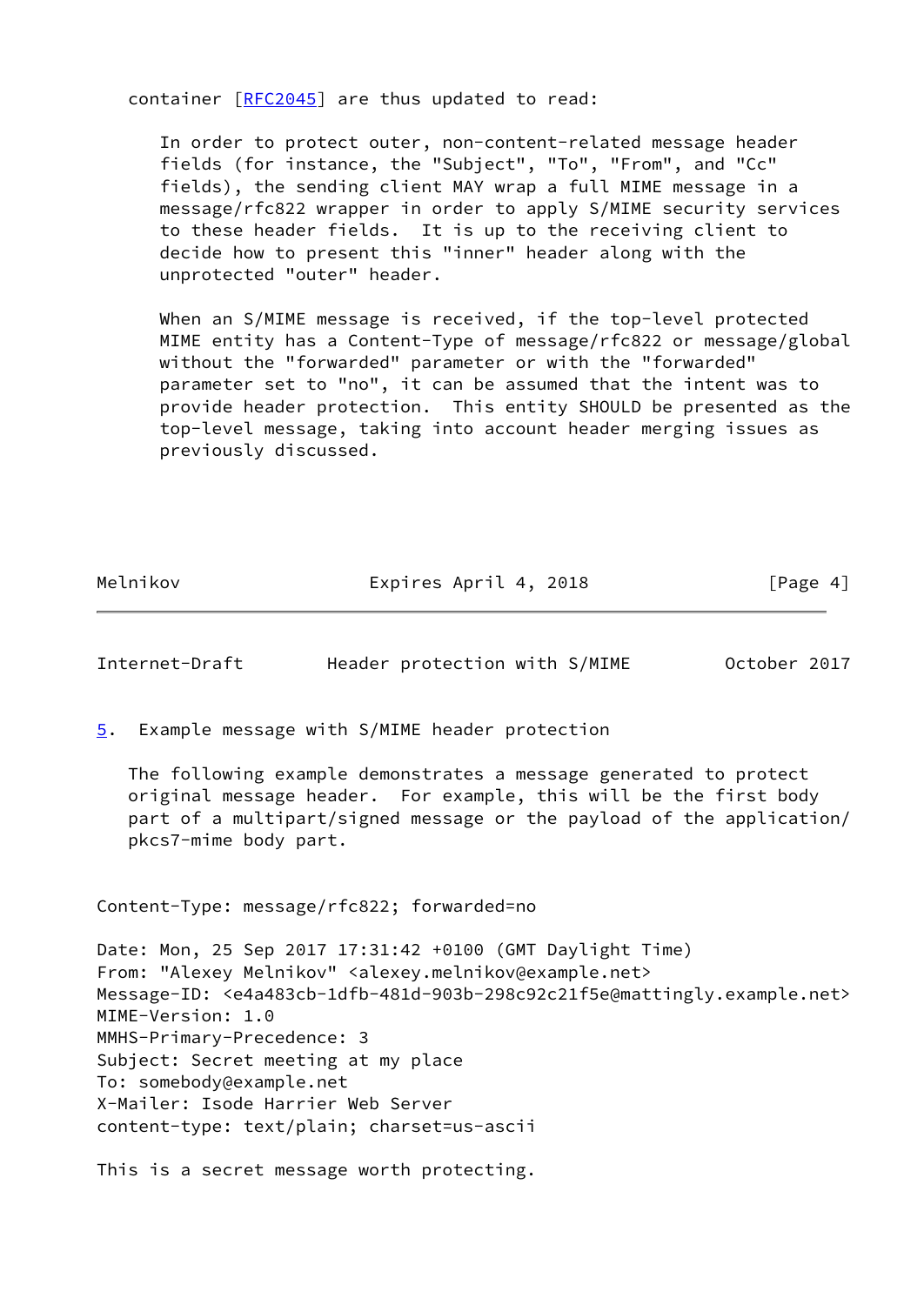container [[RFC2045](https://datatracker.ietf.org/doc/pdf/rfc2045)] are thus updated to read:

 In order to protect outer, non-content-related message header fields (for instance, the "Subject", "To", "From", and "Cc" fields), the sending client MAY wrap a full MIME message in a message/rfc822 wrapper in order to apply S/MIME security services to these header fields. It is up to the receiving client to decide how to present this "inner" header along with the unprotected "outer" header.

 When an S/MIME message is received, if the top-level protected MIME entity has a Content-Type of message/rfc822 or message/global without the "forwarded" parameter or with the "forwarded" parameter set to "no", it can be assumed that the intent was to provide header protection. This entity SHOULD be presented as the top-level message, taking into account header merging issues as previously discussed.

| Melnikov | Expires April 4, 2018 | [Page 4] |
|----------|-----------------------|----------|

<span id="page-4-1"></span>Internet-Draft Header protection with S/MIME October 2017

<span id="page-4-0"></span>[5](#page-4-0). Example message with S/MIME header protection

 The following example demonstrates a message generated to protect original message header. For example, this will be the first body part of a multipart/signed message or the payload of the application/ pkcs7-mime body part.

Content-Type: message/rfc822; forwarded=no

Date: Mon, 25 Sep 2017 17:31:42 +0100 (GMT Daylight Time) From: "Alexey Melnikov" <alexey.melnikov@example.net> Message-ID: <e4a483cb-1dfb-481d-903b-298c92c21f5e@mattingly.example.net> MIME-Version: 1.0 MMHS-Primary-Precedence: 3 Subject: Secret meeting at my place To: somebody@example.net X-Mailer: Isode Harrier Web Server content-type: text/plain; charset=us-ascii

This is a secret message worth protecting.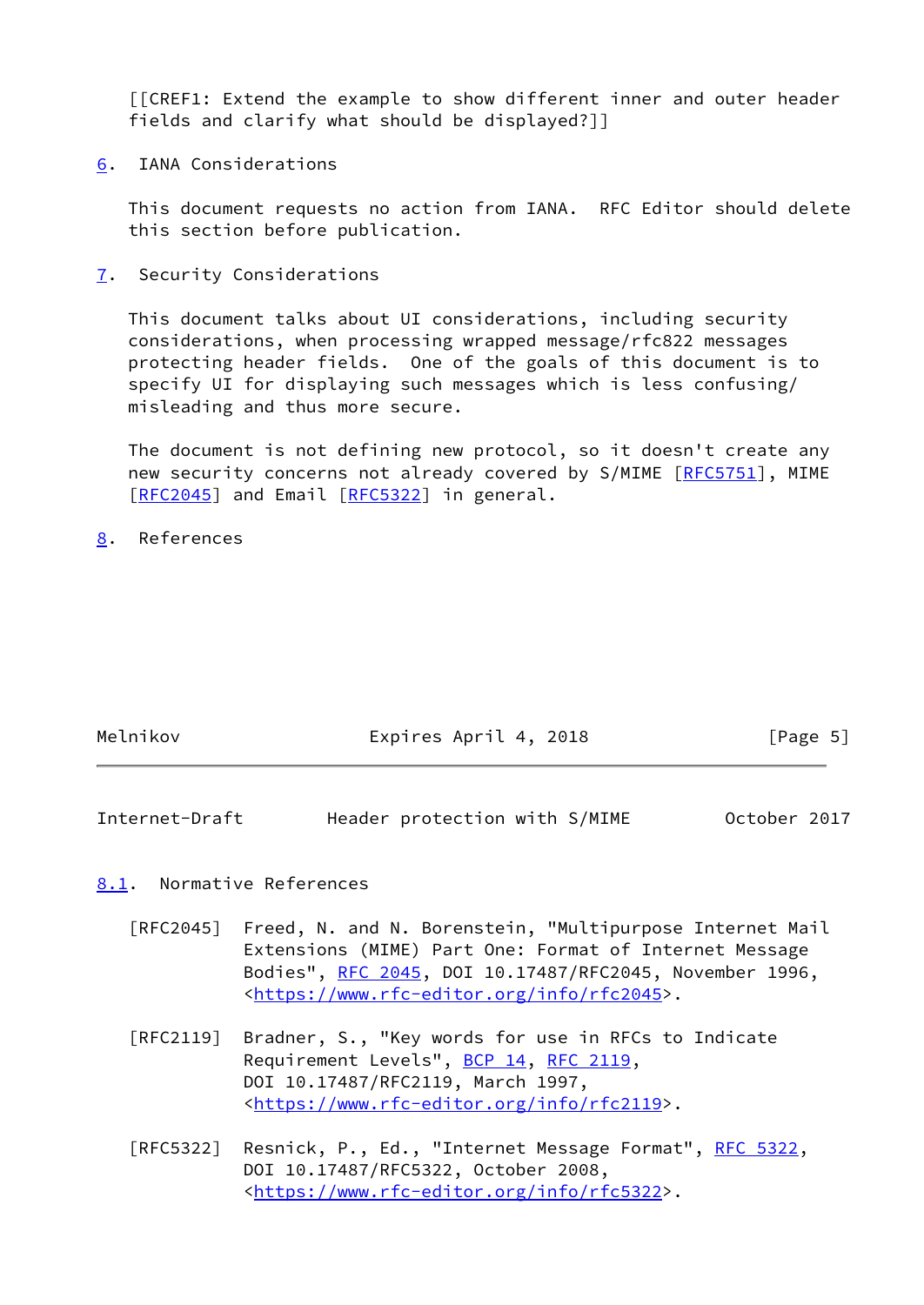[[CREF1: Extend the example to show different inner and outer header fields and clarify what should be displayed?]]

<span id="page-5-0"></span>[6](#page-5-0). IANA Considerations

 This document requests no action from IANA. RFC Editor should delete this section before publication.

<span id="page-5-1"></span>[7](#page-5-1). Security Considerations

 This document talks about UI considerations, including security considerations, when processing wrapped message/rfc822 messages protecting header fields. One of the goals of this document is to specify UI for displaying such messages which is less confusing/ misleading and thus more secure.

 The document is not defining new protocol, so it doesn't create any new security concerns not already covered by S/MIME [\[RFC5751](https://datatracker.ietf.org/doc/pdf/rfc5751)], MIME [\[RFC2045](https://datatracker.ietf.org/doc/pdf/rfc2045)] and Email [\[RFC5322](https://datatracker.ietf.org/doc/pdf/rfc5322)] in general.

<span id="page-5-2"></span>[8](#page-5-2). References

| Melnikov | Expires April 4, 2018 | [Page 5] |
|----------|-----------------------|----------|
|          |                       |          |

<span id="page-5-4"></span>Internet-Draft Header protection with S/MIME October 2017

### <span id="page-5-3"></span>[8.1](#page-5-3). Normative References

- [RFC2045] Freed, N. and N. Borenstein, "Multipurpose Internet Mail Extensions (MIME) Part One: Format of Internet Message Bodies", [RFC 2045,](https://datatracker.ietf.org/doc/pdf/rfc2045) DOI 10.17487/RFC2045, November 1996, <[https://www.rfc-editor.org/info/rfc2045>](https://www.rfc-editor.org/info/rfc2045).
- [RFC2119] Bradner, S., "Key words for use in RFCs to Indicate Requirement Levels", [BCP 14](https://datatracker.ietf.org/doc/pdf/bcp14), [RFC 2119](https://datatracker.ietf.org/doc/pdf/rfc2119), DOI 10.17487/RFC2119, March 1997, <[https://www.rfc-editor.org/info/rfc2119>](https://www.rfc-editor.org/info/rfc2119).
- [RFC5322] Resnick, P., Ed., "Internet Message Format", [RFC 5322](https://datatracker.ietf.org/doc/pdf/rfc5322), DOI 10.17487/RFC5322, October 2008, <[https://www.rfc-editor.org/info/rfc5322>](https://www.rfc-editor.org/info/rfc5322).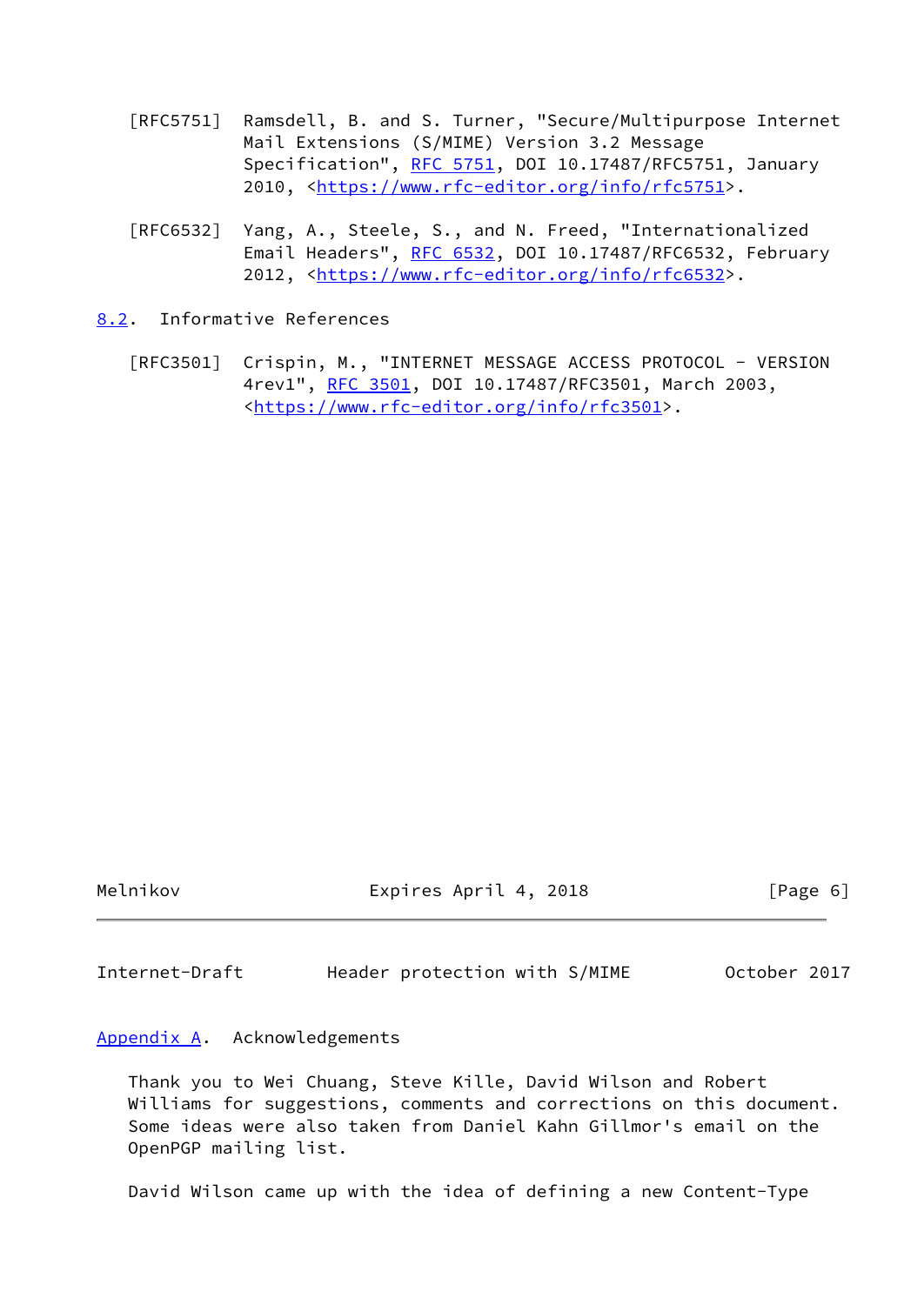- [RFC5751] Ramsdell, B. and S. Turner, "Secure/Multipurpose Internet Mail Extensions (S/MIME) Version 3.2 Message Specification", [RFC 5751,](https://datatracker.ietf.org/doc/pdf/rfc5751) DOI 10.17487/RFC5751, January 2010, [<https://www.rfc-editor.org/info/rfc5751](https://www.rfc-editor.org/info/rfc5751)>.
- [RFC6532] Yang, A., Steele, S., and N. Freed, "Internationalized Email Headers", [RFC 6532,](https://datatracker.ietf.org/doc/pdf/rfc6532) DOI 10.17487/RFC6532, February 2012, [<https://www.rfc-editor.org/info/rfc6532](https://www.rfc-editor.org/info/rfc6532)>.

<span id="page-6-0"></span>[8.2](#page-6-0). Informative References

 [RFC3501] Crispin, M., "INTERNET MESSAGE ACCESS PROTOCOL - VERSION 4rev1", [RFC 3501,](https://datatracker.ietf.org/doc/pdf/rfc3501) DOI 10.17487/RFC3501, March 2003, <[https://www.rfc-editor.org/info/rfc3501>](https://www.rfc-editor.org/info/rfc3501).

Melnikov Expires April 4, 2018 [Page 6]

<span id="page-6-2"></span>Internet-Draft Header protection with S/MIME October 2017

<span id="page-6-1"></span>[Appendix A.](#page-6-1) Acknowledgements

 Thank you to Wei Chuang, Steve Kille, David Wilson and Robert Williams for suggestions, comments and corrections on this document. Some ideas were also taken from Daniel Kahn Gillmor's email on the OpenPGP mailing list.

David Wilson came up with the idea of defining a new Content-Type